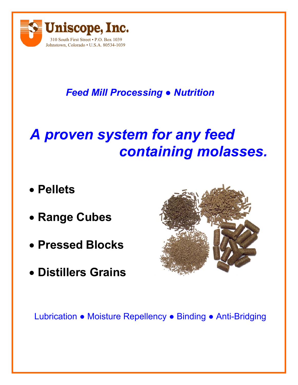

## *Feed Mill Processing ● Nutrition*

## *A proven system for any feed containing molasses.*

- **Pellets**
- **Range Cubes**
- **Pressed Blocks**
- **Distillers Grains**



Lubrication ● Moisture Repellency ● Binding ● Anti-Bridging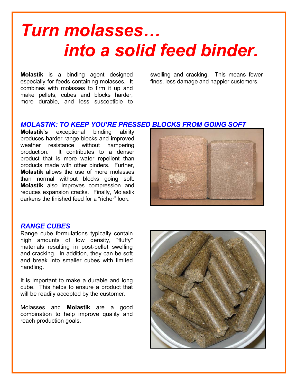# *Turn molasses… into a solid feed binder.*

**Molastik** is a binding agent designed especially for feeds containing molasses. It combines with molasses to firm it up and make pellets, cubes and blocks harder, more durable, and less susceptible to

swelling and cracking. This means fewer fines, less damage and happier customers.

#### *MOLASTIK: TO KEEP YOU'RE PRESSED BLOCKS FROM GOING SOFT*

**Molastik's** exceptional binding ability produces harder range blocks and improved weather resistance without hampering production. It contributes to a denser product that is more water repellent than products made with other binders. Further, **Molastik** allows the use of more molasses than normal without blocks going soft. **Molastik** also improves compression and reduces expansion cracks. Finally, Molastik darkens the finished feed for a "richer" look.



#### *RANGE CUBES*

Range cube formulations typically contain high amounts of low density, "fluffy" materials resulting in post-pellet swelling and cracking. In addition, they can be soft and break into smaller cubes with limited handling.

It is important to make a durable and long cube. This helps to ensure a product that will be readily accepted by the customer.

Molasses and **Molastik** are a good combination to help improve quality and reach production goals.

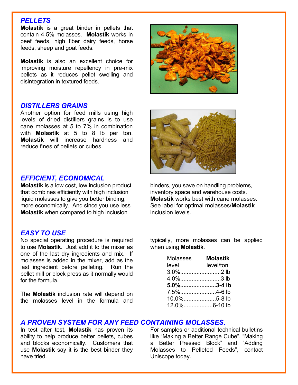#### *PELLETS*

**Molastik** is a great binder in pellets that contain 4-5% molasses. **Molastik** works in beef feeds, high fiber dairy feeds, horse feeds, sheep and goat feeds.

**Molastik** is also an excellent choice for improving moisture repellency in pre-mix pellets as it reduces pellet swelling and disintegration in textured feeds.

#### *DISTILLERS GRAINS*

Another option for feed mills using high levels of dried distillers grains is to use cane molasses at 5 to 7% in combination with **Molastik** at 5 to 8 lb per ton. **Molastik** will increase hardness and reduce fines of pellets or cubes.

#### *EFFICIENT, ECONOMICAL*

**Molastik** is a low cost, low inclusion product that combines efficiently with high inclusion liquid molasses to give you better binding, more economically. And since you use less **Molastik** when compared to high inclusion

#### *EASY TO USE*

No special operating procedure is required to use **Molastik**. Just add it to the mixer as one of the last dry ingredients and mix. If molasses is added in the mixer, add as the last ingredient before pelleting. Run the pellet mill or block press as it normally would for the formula.

The **Molastik** inclusion rate will depend on the molasses level in the formula and





binders, you save on handling problems, inventory space and warehouse costs. **Molastik** works best with cane molasses. See label for optimal molasses/**Molastik** inclusion levels.

typically, more molasses can be applied when using **Molastik**.

| Molasses     | <b>Molastik</b> |
|--------------|-----------------|
| level        | level/ton       |
| 3.0%2 lb     |                 |
| 4.0%3 lb     |                 |
| 5.0%3-4 lb   |                 |
| 7.5%4-6 lb   |                 |
| 10.0%5-8 lb  |                 |
| 12.0%6-10 lb |                 |

#### *A PROVEN SYSTEM FOR ANY FEED CONTAINING MOLASSES.*

In test after test, **Molastik** has proven its ability to help produce better pellets, cubes and blocks economically. Customers that use **Molastik** say it is the best binder they have tried.

For samples or additional technical bulletins like "Making a Better Range Cube", "Making a Better Pressed Block" and "Adding Molasses to Pelleted Feeds", contact Uniscope today.